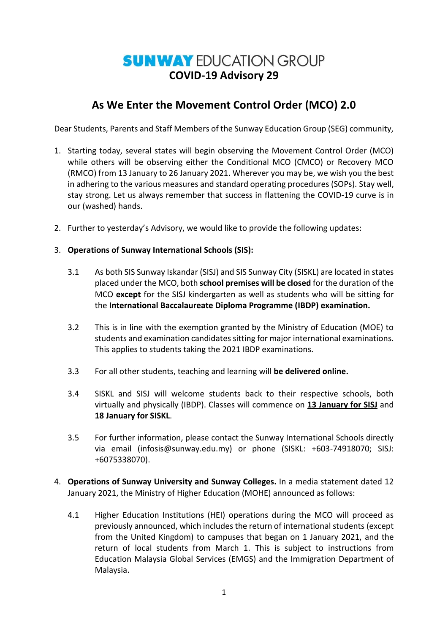## **SUNWAY EDUCATION GROUP COVID-19 Advisory 29**

## **As We Enter the Movement Control Order (MCO) 2.0**

Dear Students, Parents and Staff Members of the Sunway Education Group (SEG) community,

- 1. Starting today, several states will begin observing the Movement Control Order (MCO) while others will be observing either the Conditional MCO (CMCO) or Recovery MCO (RMCO) from 13 January to 26 January 2021. Wherever you may be, we wish you the best in adhering to the various measures and standard operating procedures (SOPs). Stay well, stay strong. Let us always remember that success in flattening the COVID-19 curve is in our (washed) hands.
- 2. Further to yesterday's Advisory, we would like to provide the following updates:
- 3. **Operations of Sunway International Schools (SIS):**
	- 3.1 As both SIS Sunway Iskandar (SISJ) and SIS Sunway City (SISKL) are located in states placed under the MCO, both **school premises will be closed** for the duration of the MCO **except** for the SISJ kindergarten as well as students who will be sitting for the **International Baccalaureate Diploma Programme (IBDP) examination.**
	- 3.2 This is in line with the exemption granted by the Ministry of Education (MOE) to students and examination candidates sitting for major international examinations. This applies to students taking the 2021 IBDP examinations.
	- 3.3 For all other students, teaching and learning will **be delivered online.**
	- 3.4 SISKL and SISJ will welcome students back to their respective schools, both virtually and physically (IBDP). Classes will commence on **13 January for SISJ** and **18 January for SISKL**.
	- 3.5 For further information, please contact the Sunway International Schools directly via email [\(infosis@sunway.edu.my\)](mailto:infosis@sunway.edu.my) or phone (SISKL: +603-74918070; SISJ: +6075338070).
- 4. **Operations of Sunway University and Sunway Colleges.** In a media statement dated 12 January 2021, the Ministry of Higher Education (MOHE) announced as follows:
	- 4.1 Higher Education Institutions (HEI) operations during the MCO will proceed as previously announced, which includes the return of international students (except from the United Kingdom) to campuses that began on 1 January 2021, and the return of local students from March 1. This is subject to instructions from Education Malaysia Global Services (EMGS) and the Immigration Department of Malaysia.